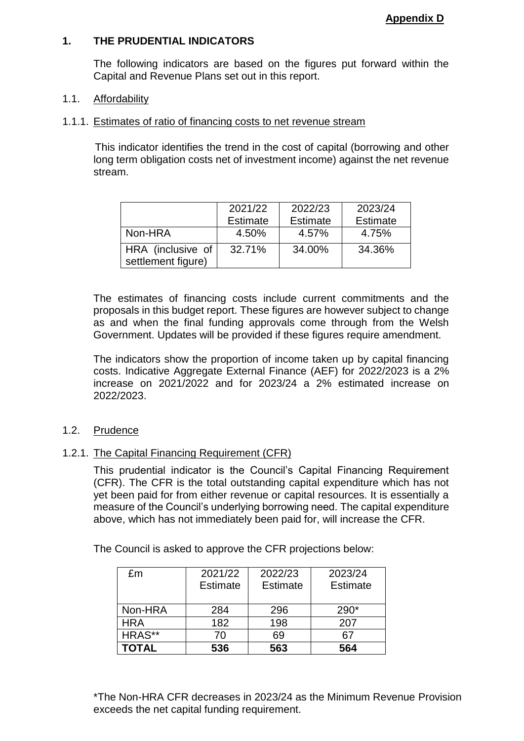## **1. THE PRUDENTIAL INDICATORS**

The following indicators are based on the figures put forward within the Capital and Revenue Plans set out in this report.

### 1.1. Affordability

#### 1.1.1. Estimates of ratio of financing costs to net revenue stream

This indicator identifies the trend in the cost of capital (borrowing and other long term obligation costs net of investment income) against the net revenue stream.

|                                         | 2021/22<br><b>Estimate</b> | 2022/23<br><b>Estimate</b> | 2023/24<br>Estimate |
|-----------------------------------------|----------------------------|----------------------------|---------------------|
| Non-HRA                                 | 4.50%                      | 4.57%                      | 4.75%               |
| HRA (inclusive of<br>settlement figure) | 32.71%                     | 34.00%                     | 34.36%              |

The estimates of financing costs include current commitments and the proposals in this budget report. These figures are however subject to change as and when the final funding approvals come through from the Welsh Government. Updates will be provided if these figures require amendment.

The indicators show the proportion of income taken up by capital financing costs. Indicative Aggregate External Finance (AEF) for 2022/2023 is a 2% increase on 2021/2022 and for 2023/24 a 2% estimated increase on 2022/2023.

#### 1.2. Prudence

### 1.2.1. The Capital Financing Requirement (CFR)

This prudential indicator is the Council's Capital Financing Requirement (CFR). The CFR is the total outstanding capital expenditure which has not yet been paid for from either revenue or capital resources. It is essentially a measure of the Council's underlying borrowing need. The capital expenditure above, which has not immediately been paid for, will increase the CFR.

The Council is asked to approve the CFR projections below:

| £m           | 2021/22<br><b>Estimate</b> | 2022/23<br><b>Estimate</b> | 2023/24<br><b>Estimate</b> |
|--------------|----------------------------|----------------------------|----------------------------|
| Non-HRA      | 284                        | 296                        | 290*                       |
| <b>HRA</b>   | 182                        | 198                        | 207                        |
| HRAS**       | 70                         | 69                         | 67                         |
| <b>TOTAL</b> | 536                        | 563                        | 564                        |

\*The Non-HRA CFR decreases in 2023/24 as the Minimum Revenue Provision exceeds the net capital funding requirement.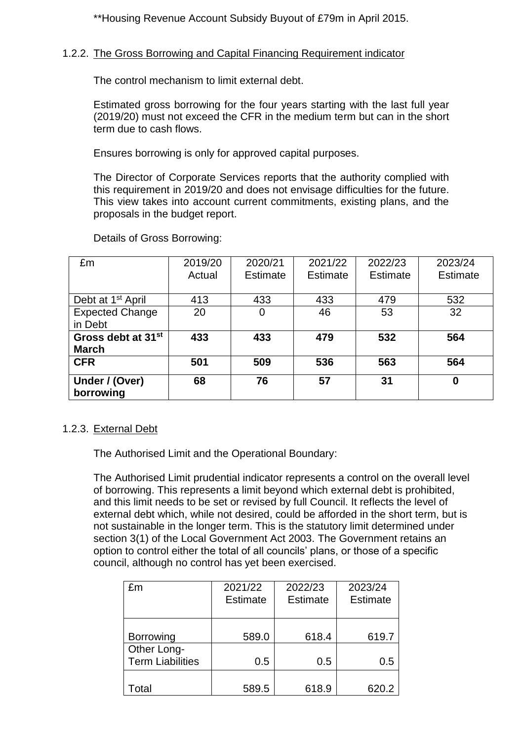\*\*Housing Revenue Account Subsidy Buyout of £79m in April 2015.

# 1.2.2. The Gross Borrowing and Capital Financing Requirement indicator

The control mechanism to limit external debt.

Estimated gross borrowing for the four years starting with the last full year (2019/20) must not exceed the CFR in the medium term but can in the short term due to cash flows.

Ensures borrowing is only for approved capital purposes.

The Director of Corporate Services reports that the authority complied with this requirement in 2019/20 and does not envisage difficulties for the future. This view takes into account current commitments, existing plans, and the proposals in the budget report.

| £m                                             | 2019/20<br>Actual | 2020/21<br><b>Estimate</b> | 2021/22<br>Estimate | 2022/23<br>Estimate | 2023/24<br>Estimate |
|------------------------------------------------|-------------------|----------------------------|---------------------|---------------------|---------------------|
| Debt at 1 <sup>st</sup> April                  | 413               | 433                        | 433                 | 479                 | 532                 |
| <b>Expected Change</b><br>in Debt              | 20                | 0                          | 46                  | 53                  | 32                  |
| Gross debt at 31 <sup>st</sup><br><b>March</b> | 433               | 433                        | 479                 | 532                 | 564                 |
| <b>CFR</b>                                     | 501               | 509                        | 536                 | 563                 | 564                 |
| Under / (Over)<br>borrowing                    | 68                | 76                         | 57                  | 31                  | 0                   |

Details of Gross Borrowing:

# 1.2.3. External Debt

The Authorised Limit and the Operational Boundary:

The Authorised Limit prudential indicator represents a control on the overall level of borrowing. This represents a limit beyond which external debt is prohibited, and this limit needs to be set or revised by full Council. It reflects the level of external debt which, while not desired, could be afforded in the short term, but is not sustainable in the longer term. This is the statutory limit determined under section 3(1) of the Local Government Act 2003. The Government retains an option to control either the total of all councils' plans, or those of a specific council, although no control has yet been exercised.

| £m                      | 2021/22         | 2022/23         | 2023/24         |
|-------------------------|-----------------|-----------------|-----------------|
|                         | <b>Estimate</b> | <b>Estimate</b> | <b>Estimate</b> |
|                         |                 |                 |                 |
|                         |                 |                 |                 |
| <b>Borrowing</b>        | 589.0           | 618.4           | 619.7           |
| Other Long-             |                 |                 |                 |
| <b>Term Liabilities</b> | 0.5             | 0.5             | 0.5             |
|                         |                 |                 |                 |
| <sup>-</sup> otal       | 589.5           | 618.9           | 620.2           |